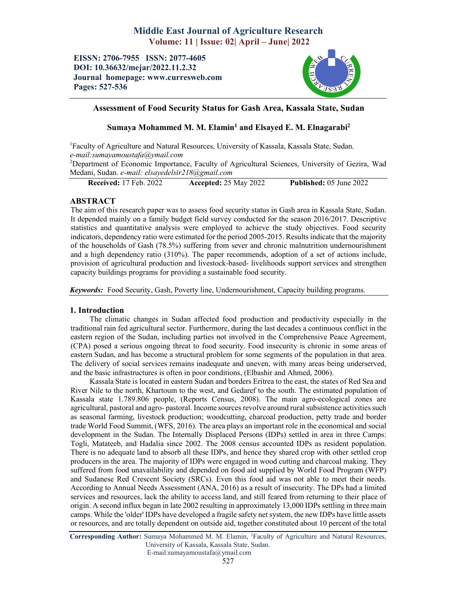# Middle East Journal of Agriculture Research Volume: 11 | Issue: 02| April – June| 2022

EISSN: 2706-7955 ISSN: 2077-4605 DOI: 10.36632/mejar/2022.11.2.32 Journal homepage: www.curresweb.com Pages: 527-536



# Assessment of Food Security Status for Gash Area, Kassala State, Sudan

# Sumaya Mohammed M. M. Elamin<sup>1</sup> and Elsayed E. M. Elnagarabi<sup>2</sup>

1 Faculty of Agriculture and Natural Resources, University of Kassala, Kassala State, Sudan. *e-mail:sumayamoustafa@ymail.com*

<sup>2</sup>Department of Economic Importance, Faculty of Agricultural Sciences, University of Gezira, Wad Medani, Sudan. *e-mail: elsayedelsir218@gmail.com*

Received: 17 Feb. 2022 Accepted: 25 May 2022 Published: 05 June 2022

# ABSTRACT

The aim of this research paper was to assess food security status in Gash area in Kassala State, Sudan. It depended mainly on a family budget field survey conducted for the season 2016/2017. Descriptive statistics and quantitative analysis were employed to achieve the study objectives. Food security indicators, dependency ratio were estimated for the period 2005-2015. Results indicate that the majority of the households of Gash (78.5%) suffering from sever and chronic malnutrition undernourishment and a high dependency ratio (310%). The paper recommends, adoption of a set of actions include, provision of agricultural production and livestock-based- livelihoods support services and strengthen capacity buildings programs for providing a sustainable food security.

*Keywords:* Food Security, Gash, Poverty line, Undernourishment, Capacity building programs.

# 1. Introduction

The climatic changes in Sudan affected food production and productivity especially in the traditional rain fed agricultural sector. Furthermore, during the last decades a continuous conflict in the eastern region of the Sudan, including parties not involved in the Comprehensive Peace Agreement, (CPA) posed a serious ongoing threat to food security. Food insecurity is chronic in some areas of eastern Sudan, and has become a structural problem for some segments of the population in that area. The delivery of social services remains inadequate and uneven, with many areas being underserved, and the basic infrastructures is often in poor conditions, (Elbashir and Ahmed, 2006).

Kassala State is located in eastern Sudan and borders Eritrea to the east, the states of Red Sea and River Nile to the north, Khartoum to the west, and Gedaref to the south. The estimated population of Kassala state 1.789.806 people, (Reports Census, 2008). The main agro-ecological zones are agricultural, pastoral and agro- pastoral. Income sources revolve around rural subsistence activities such as seasonal farming, livestock production; woodcutting, charcoal production, petty trade and border trade World Food Summit, (WFS, 2016). The area plays an important role in the economical and social development in the Sudan. The Internally Displaced Persons (IDPs) settled in area in three Camps: Togli, Matateeb, and Hadalia since 2002. The 2008 census accounted IDPs as resident population. There is no adequate land to absorb all these IDPs, and hence they shared crop with other settled crop producers in the area. The majority of IDPs were engaged in wood cutting and charcoal making. They suffered from food unavailability and depended on food aid supplied by World Food Program (WFP) and Sudanese Red Crescent Society (SRCs). Even this food aid was not able to meet their needs. According to Annual Needs Assessment (ANA, 2016) as a result of insecurity. The DPs had a limited services and resources, lack the ability to access land, and still feared from returning to their place of origin. A second influx began in late 2002 resulting in approximately 13,000 IDPs settling in three main camps. While the 'older' IDPs have developed a fragile safety net system, the new IDPs have little assets or resources, and are totally dependent on outside aid, together constituted about 10 percent of the total

Corresponding Author: Sumaya Mohammed M. M. Elamin, 1 Faculty of Agriculture and Natural Resources, University of Kassala, Kassala State, Sudan.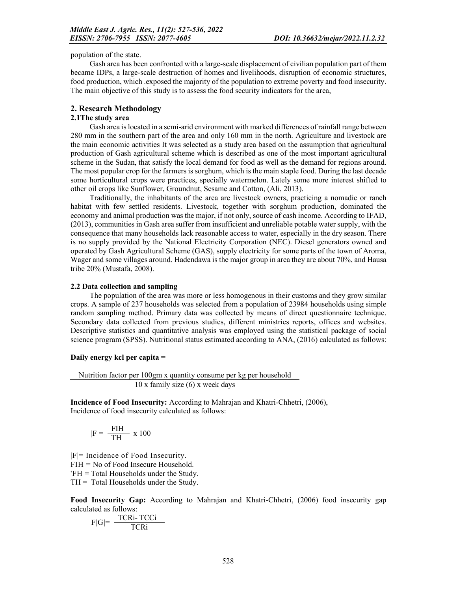population of the state.

Gash area has been confronted with a large-scale displacement of civilian population part of them became IDPs, a large-scale destruction of homes and livelihoods, disruption of economic structures, food production, which .exposed the majority of the population to extreme poverty and food insecurity. The main objective of this study is to assess the food security indicators for the area,

#### 2. Research Methodology

### 2.1The study area

Gash area is located in a semi-arid environment with marked differences of rainfall range between 280 mm in the southern part of the area and only 160 mm in the north. Agriculture and livestock are the main economic activities It was selected as a study area based on the assumption that agricultural production of Gash agricultural scheme which is described as one of the most important agricultural scheme in the Sudan, that satisfy the local demand for food as well as the demand for regions around. The most popular crop for the farmers is sorghum, which is the main staple food. During the last decade some horticultural crops were practices, specially watermelon. Lately some more interest shifted to other oil crops like Sunflower, Groundnut, Sesame and Cotton, (Ali, 2013).

Traditionally, the inhabitants of the area are livestock owners, practicing a nomadic or ranch habitat with few settled residents. Livestock, together with sorghum production, dominated the economy and animal production was the major, if not only, source of cash income. According to IFAD, (2013), communities in Gash area suffer from insufficient and unreliable potable water supply, with the consequence that many households lack reasonable access to water, especially in the dry season. There is no supply provided by the National Electricity Corporation (NEC). Diesel generators owned and operated by Gash Agricultural Scheme (GAS), supply electricity for some parts of the town of Aroma, Wager and some villages around. Hadendawa is the major group in area they are about 70%, and Hausa tribe 20% (Mustafa, 2008).

### 2.2 Data collection and sampling

The population of the area was more or less homogenous in their customs and they grow similar crops. A sample of 237 households was selected from a population of 23984 households using simple random sampling method. Primary data was collected by means of direct questionnaire technique. Secondary data collected from previous studies, different ministries reports, offices and websites. Descriptive statistics and quantitative analysis was employed using the statistical package of social science program (SPSS). Nutritional status estimated according to ANA, (2016) calculated as follows:

### Daily energy kcl per capita =

Nutrition factor per 100gm x quantity consume per kg per household 10 x family size (6) x week days

Incidence of Food Insecurity: According to Mahrajan and Khatri-Chhetri, (2006), Incidence of food insecurity calculated as follows:

$$
|F|{=}\ \frac{{\rm FIH}}{{\rm TH}}\ x\ 100
$$

 $|F|=$  Incidence of Food Insecurity. FIH = No of Food Insecure Household. 'FH = Total Households under the Study.  $TH = Total Households under the Study.$ 

Food Insecurity Gap: According to Mahrajan and Khatri-Chhetri, (2006) food insecurity gap calculated as follows:

$$
F|G| = \frac{TCRi - TCCi}{TCRi}
$$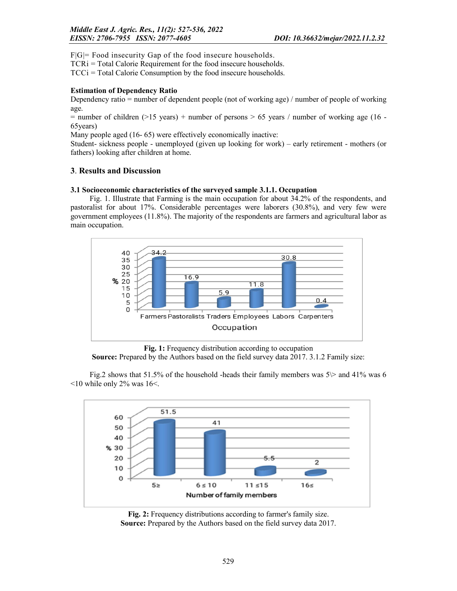F|G|= Food insecurity Gap of the food insecure households.

TCRi = Total Calorie Requirement for the food insecure households.

TCCi = Total Calorie Consumption by the food insecure households.

### Estimation of Dependency Ratio

Dependency ratio = number of dependent people (not of working age) / number of people of working age.

 $=$  number of children (>15 years) + number of persons > 65 years / number of working age (16 -65years)

Many people aged (16- 65) were effectively economically inactive:

Student- sickness people - unemployed (given up looking for work) – early retirement - mothers (or fathers) looking after children at home.

# 3. Results and Discussion

### 3.1 Socioeconomic characteristics of the surveyed sample 3.1.1. Occupation

Fig. 1. Illustrate that Farming is the main occupation for about 34.2% of the respondents, and pastoralist for about 17%. Considerable percentages were laborers (30.8%), and very few were government employees (11.8%). The majority of the respondents are farmers and agricultural labor as main occupation.



Fig. 1: Frequency distribution according to occupation Source: Prepared by the Authors based on the field survey data 2017. 3.1.2 Family size:

Fig.2 shows that 51.5% of the household -heads their family members was  $5$  and 41% was 6  $\leq$ 10 while only 2% was 16 $\leq$ .



Fig. 2: Frequency distributions according to farmer's family size. Source: Prepared by the Authors based on the field survey data 2017.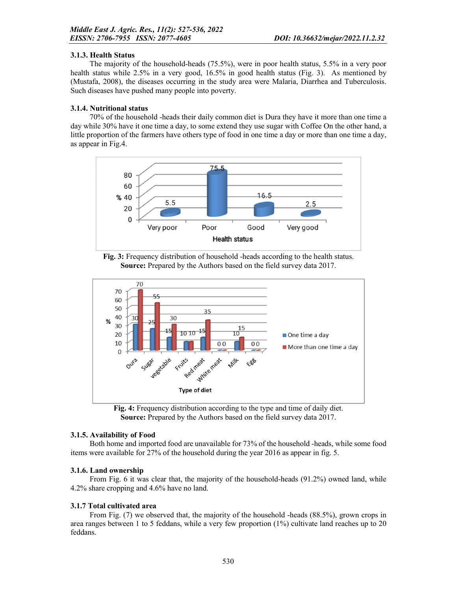# 3.1.3. Health Status

The majority of the household-heads (75.5%), were in poor health status, 5.5% in a very poor health status while 2.5% in a very good, 16.5% in good health status (Fig. 3). As mentioned by (Mustafa, 2008), the diseases occurring in the study area were Malaria, Diarrhea and Tuberculosis. Such diseases have pushed many people into poverty.

# 3.1.4. Nutritional status

70% of the household -heads their daily common diet is Dura they have it more than one time a day while 30% have it one time a day, to some extend they use sugar with Coffee On the other hand, a little proportion of the farmers have others type of food in one time a day or more than one time a day, as appear in Fig.4.



Fig. 3: Frequency distribution of household -heads according to the health status. Source: Prepared by the Authors based on the field survey data 2017.



Fig. 4: Frequency distribution according to the type and time of daily diet. Source: Prepared by the Authors based on the field survey data 2017.

# 3.1.5. Availability of Food

Both home and imported food are unavailable for 73% of the household -heads, while some food items were available for 27% of the household during the year 2016 as appear in fig. 5.

# 3.1.6. Land ownership

From Fig. 6 it was clear that, the majority of the household-heads (91.2%) owned land, while 4.2% share cropping and 4.6% have no land.

# 3.1.7 Total cultivated area

From Fig. (7) we observed that, the majority of the household -heads (88.5%), grown crops in area ranges between 1 to 5 feddans, while a very few proportion (1%) cultivate land reaches up to 20 feddans.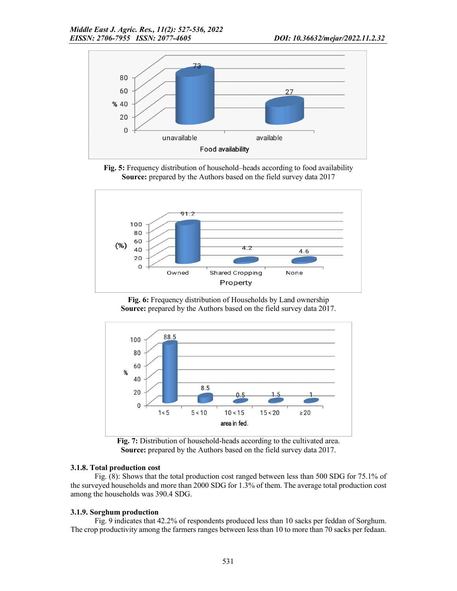

Fig. 5: Frequency distribution of household–heads according to food availability Source: prepared by the Authors based on the field survey data 2017



Fig. 6: Frequency distribution of Households by Land ownership Source: prepared by the Authors based on the field survey data 2017.



Fig. 7: Distribution of household-heads according to the cultivated area. Source: prepared by the Authors based on the field survey data 2017.

### 3.1.8. Total production cost

Fig. (8): Shows that the total production cost ranged between less than 500 SDG for 75.1% of the surveyed households and more than 2000 SDG for 1.3% of them. The average total production cost among the households was 390.4 SDG.

### 3.1.9. Sorghum production

Fig. 9 indicates that 42.2% of respondents produced less than 10 sacks per feddan of Sorghum. The crop productivity among the farmers ranges between less than 10 to more than 70 sacks per fedaan.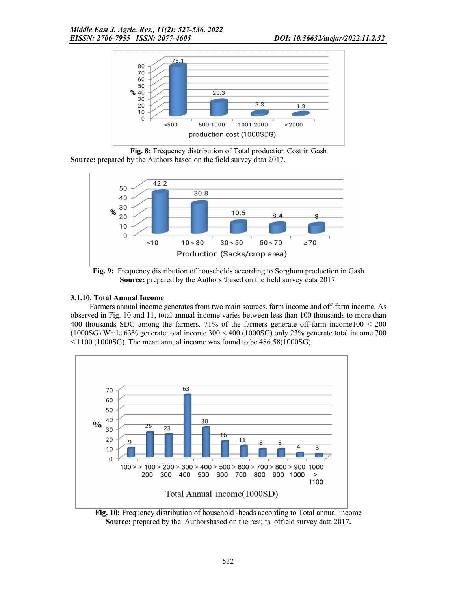

Fig. 8: Frequency distribution of Total production Cost in Gash Source: prepared by the Authors based on the field survey data 2017.



Fig. 9: Frequency distribution of households according to Sorghum production in Gash Source: prepared by the Authors \based on the field survey data 2017.

### 3.1.10. Total Annual Income

Farmers annual income generates from two main sources. farm income and off-farm income. As observed in Fig. 10 and 11, total annual income varies between less than 100 thousands to more than 400 thousands SDG among the farmers. 71% of the farmers generate off-farm income100 < 200 (1000SG) While 63% generate total income 300 < 400 (1000SG) only 23% generate total income 700  $\leq$  1100 (1000SG). The mean annual income was found to be 486.58(1000SG).



Fig. 10: Frequency distribution of household -heads according to Total annual income Source: prepared by the Authorsbased on the results offield survey data 2017.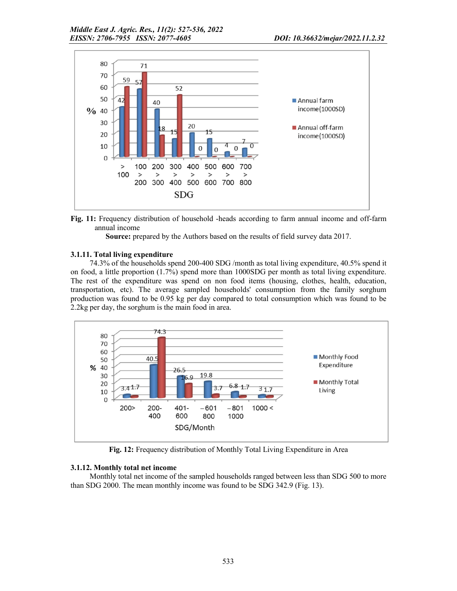



Source: prepared by the Authors based on the results of field survey data 2017.

# 3.1.11. Total living expenditure

74.3% of the households spend 200-400 SDG /month as total living expenditure, 40.5% spend it on food, a little proportion (1.7%) spend more than 1000SDG per month as total living expenditure. The rest of the expenditure was spend on non food items (housing, clothes, health, education, transportation, etc). The average sampled households' consumption from the family sorghum production was found to be 0.95 kg per day compared to total consumption which was found to be 2.2kg per day, the sorghum is the main food in area.



Fig. 12: Frequency distribution of Monthly Total Living Expenditure in Area

# 3.1.12. Monthly total net income

Monthly total net income of the sampled households ranged between less than SDG 500 to more than SDG 2000. The mean monthly income was found to be SDG 342.9 (Fig. 13).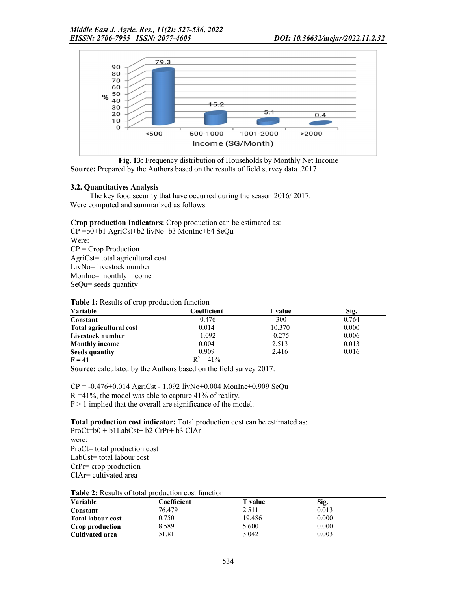



### 3.2. Quantitatives Analysis

The key food security that have occurred during the season 2016/ 2017. Were computed and summarized as follows:

Crop production Indicators: Crop production can be estimated as:

CP =b0+b1 AgriCst+b2 livNo+b3 MonInc+b4 SeQu Were:  $CP = Crop$  Production AgriCst= total agricultural cost LivNo= livestock number MonInc= monthly income SeQu= seeds quantity

| Variable                | Coefficient  | <b>T</b> value | Sig.  |
|-------------------------|--------------|----------------|-------|
| Constant                | $-0.476$     | $-300$         | 0.764 |
| Total agricultural cost | 0.014        | 10.370         | 0.000 |
| Livestock number        | $-1.092$     | $-0.275$       | 0.006 |
| <b>Monthly income</b>   | 0.004        | 2.513          | 0.013 |
| Seeds quantity          | 0.909        | 2.416          | 0.016 |
| $F = 41$                | $R^2 = 41\%$ |                |       |

Source: calculated by the Authors based on the field survey 2017.

 $CP = -0.476 + 0.014$  AgriCst - 1.092 livNo+0.004 MonInc+0.909 SeQu

 $R = 41\%$ , the model was able to capture 41% of reality.

 $F > 1$  implied that the overall are significance of the model.

Total production cost indicator: Total production cost can be estimated as: ProCt=b0 + b1LabCst+ b2 CrPr+ b3 ClAr

were: ProCt= total production cost LabCst= total labour cost CrPr= crop production ClAr= cultivated area

| Table 2: Results of total production cost function |  |  |
|----------------------------------------------------|--|--|
|----------------------------------------------------|--|--|

| <b>Variable</b>          | Coefficient | T value | Sig.  |  |
|--------------------------|-------------|---------|-------|--|
| Constant                 | 76.479      | 2.511   | 0.013 |  |
| <b>Total labour cost</b> | 0.750       | 19.486  | 0.000 |  |
| Crop production          | 8.589       | 5.600   | 0.000 |  |
| Cultivated area          | 51.811      | 3.042   | 0.003 |  |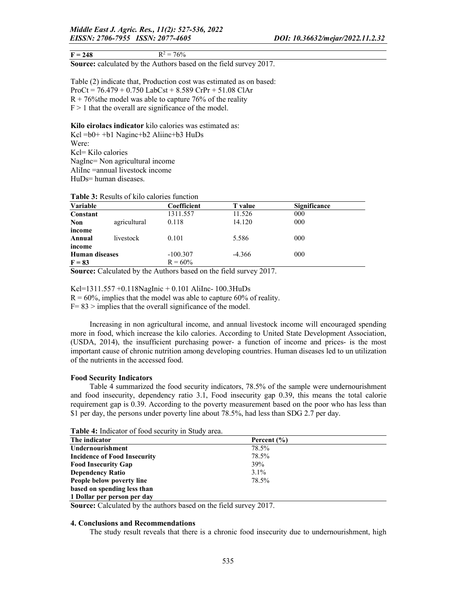Source: calculated by the Authors based on the field survey 2017.

Table (2) indicate that, Production cost was estimated as on based: ProCt = 76.479 + 0.750 LabCst + 8.589 CrPr + 51.08 ClAr  $R + 76\%$  the model was able to capture 76% of the reality  $F > 1$  that the overall are significance of the model.

Kilo eirolacs indicator kilo calories was estimated as:

Kcl =b0+ +b1 Naginc+b2 Aliinc+b3 HuDs Were: Kcl= Kilo calories NagInc= Non agricultural income AliInc =annual livestock income

HuDs= human diseases.

| Variable              |              | Coefficient | <b>T</b> value | <b>Significance</b> |
|-----------------------|--------------|-------------|----------------|---------------------|
| Constant              |              | 1311.557    | 11.526         | 000                 |
| <b>Non</b>            | agricultural | 0.118       | 14.120         | 000                 |
| income                |              |             |                |                     |
| Annual                | livestock    | 0.101       | 5.586          | 000                 |
| income                |              |             |                |                     |
| <b>Human diseases</b> |              | $-100.307$  | $-4.366$       | 000                 |
| $F = 83$              |              | $R = 60\%$  |                |                     |

#### Table 3: Results of kilo calories function

Source: Calculated by the Authors based on the field survey 2017.

Kcl=1311.557 +0.118NagInic + 0.101 AliInc- 100.3HuDs

 $R = 60\%$ , implies that the model was able to capture 60% of reality.

 $F = 83$  > implies that the overall significance of the model.

Increasing in non agricultural income, and annual livestock income will encouraged spending more in food, which increase the kilo calories. According to United State Development Association, (USDA, 2014), the insufficient purchasing power- a function of income and prices- is the most important cause of chronic nutrition among developing countries. Human diseases led to un utilization of the nutrients in the accessed food.

#### Food Security Indicators

Table 4 summarized the food security indicators, 78.5% of the sample were undernourishment and food insecurity, dependency ratio 3.1, Food insecurity gap 0.39, this means the total calorie requirement gap is 0.39. According to the poverty measurement based on the poor who has less than \$1 per day, the persons under poverty line about 78.5%, had less than SDG 2.7 per day.

| THERE IS THERE OF TOOD DECISIVE IN DRESS, WICH |                 |  |
|------------------------------------------------|-----------------|--|
| The indicator                                  | Percent $(\% )$ |  |
| Undernourishment                               | 78.5%           |  |
| <b>Incidence of Food Insecurity</b>            | 78.5%           |  |
| <b>Food Insecurity Gap</b>                     | 39%             |  |
| <b>Dependency Ratio</b>                        | $3.1\%$         |  |
| People below poverty line                      | 78.5%           |  |
| based on spending less than                    |                 |  |
| 1 Dollar per person per day                    |                 |  |

Table 4: Indicator of food security in Study area.

Source: Calculated by the authors based on the field survey 2017.

#### 4. Conclusions and Recommendations

The study result reveals that there is a chronic food insecurity due to undernourishment, high